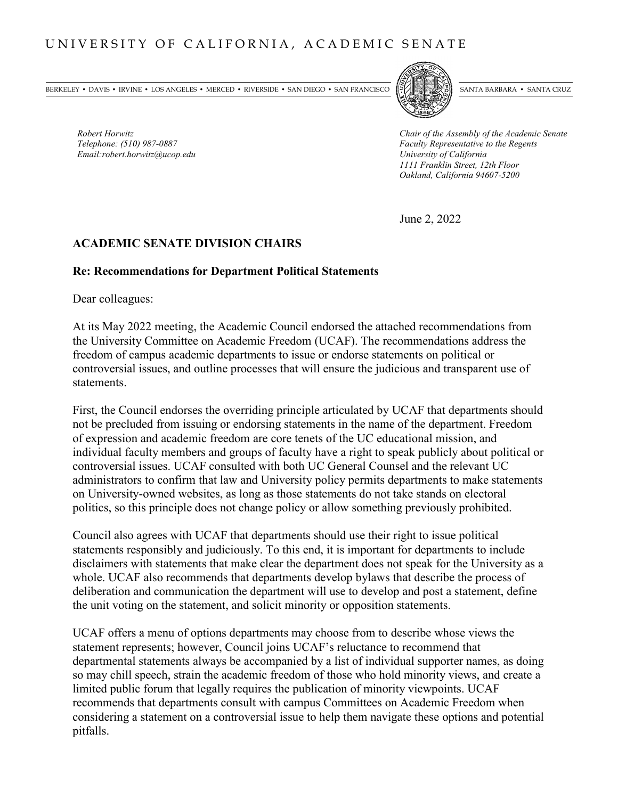BERKELEY • DAVIS • IRVINE • LOS ANGELES • MERCED • RIVERSIDE • SAN DIEGO • SAN FRANCISCO [57] SANTA BARBARA • SANTA CRUZ



*Robert Horwitz*<br> *Robert Horwitz* Chair of the Assembly of the Academic Senate<br> *Chair of the Assembly of the Academic Senate*<br> *Faculty Representative to the Regents Faculty Representative to the Regents*<br>*University of California 1111 Franklin Street, 12th Floor Oakland, California 94607-5200*

June 2, 2022

## **ACADEMIC SENATE DIVISION CHAIRS**

#### **Re: Recommendations for Department Political Statements**

Dear colleagues:

*Email:robert.horwitz@ucop.edu University of California*

At its May 2022 meeting, the Academic Council endorsed the attached recommendations from the University Committee on Academic Freedom (UCAF). The recommendations address the freedom of campus academic departments to issue or endorse statements on political or controversial issues, and outline processes that will ensure the judicious and transparent use of statements.

First, the Council endorses the overriding principle articulated by UCAF that departments should not be precluded from issuing or endorsing statements in the name of the department. Freedom of expression and academic freedom are core tenets of the UC educational mission, and individual faculty members and groups of faculty have a right to speak publicly about political or controversial issues. UCAF consulted with both UC General Counsel and the relevant UC administrators to confirm that law and University policy permits departments to make statements on University-owned websites, as long as those statements do not take stands on electoral politics, so this principle does not change policy or allow something previously prohibited.

Council also agrees with UCAF that departments should use their right to issue political statements responsibly and judiciously. To this end, it is important for departments to include disclaimers with statements that make clear the department does not speak for the University as a whole. UCAF also recommends that departments develop bylaws that describe the process of deliberation and communication the department will use to develop and post a statement, define the unit voting on the statement, and solicit minority or opposition statements.

UCAF offers a menu of options departments may choose from to describe whose views the statement represents; however, Council joins UCAF's reluctance to recommend that departmental statements always be accompanied by a list of individual supporter names, as doing so may chill speech, strain the academic freedom of those who hold minority views, and create a limited public forum that legally requires the publication of minority viewpoints. UCAF recommends that departments consult with campus Committees on Academic Freedom when considering a statement on a controversial issue to help them navigate these options and potential pitfalls.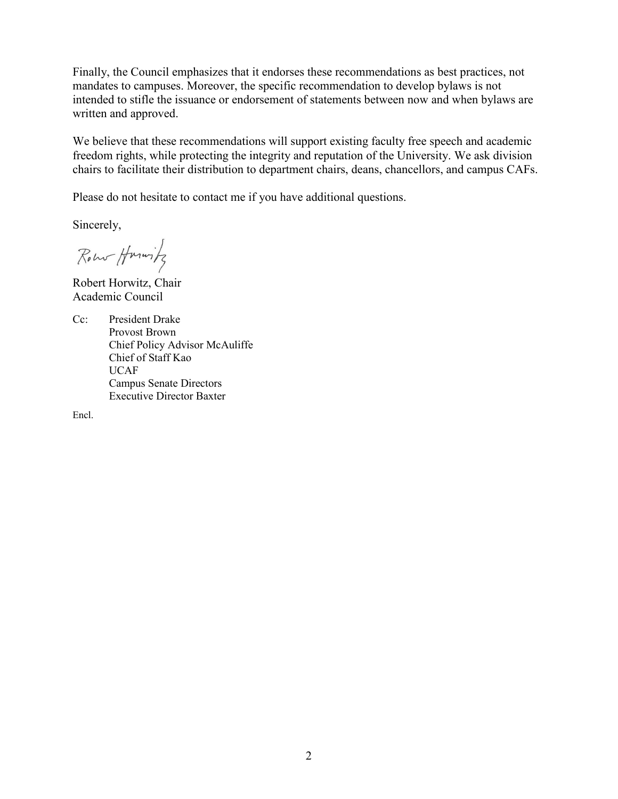Finally, the Council emphasizes that it endorses these recommendations as best practices, not mandates to campuses. Moreover, the specific recommendation to develop bylaws is not intended to stifle the issuance or endorsement of statements between now and when bylaws are written and approved.

We believe that these recommendations will support existing faculty free speech and academic freedom rights, while protecting the integrity and reputation of the University. We ask division chairs to facilitate their distribution to department chairs, deans, chancellors, and campus CAFs.

Please do not hesitate to contact me if you have additional questions.

Sincerely,

Robert Harwitz

Robert Horwitz, Chair Academic Council

Cc: President Drake Provost Brown Chief Policy Advisor McAuliffe Chief of Staff Kao UCAF Campus Senate Directors Executive Director Baxter

Encl.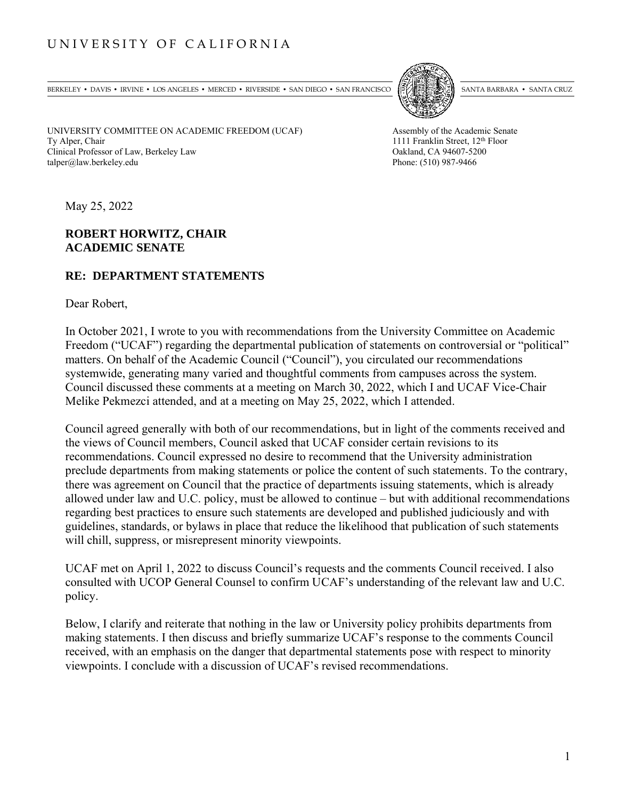# UNIVERSITY OF CALIFORNIA

BERKELEY • DAVIS • IRVINE • LOS ANGELES • MERCED • RIVERSIDE • SAN DIEGO • SAN FRANCISCO SANTA BARBARA • SANTA BARBARA • SANTA CRUZ



UNIVERSITY COMMITTEE ON ACADEMIC FREEDOM (UCAF) Assembly of the Academic Senate Ty Alper, Chair 1111 Franklin Street, 12<sup>th</sup> Floor Clinical Professor of Law, Berkeley Law Oakland, CA 94607-5200 talper@law.berkeley.edu Phone: (510) 987-9466

May 25, 2022

## **ROBERT HORWITZ, CHAIR ACADEMIC SENATE**

## **RE: DEPARTMENT STATEMENTS**

Dear Robert,

In October 2021, I wrote to you with recommendations from the University Committee on Academic Freedom ("UCAF") regarding the departmental publication of statements on controversial or "political" matters. On behalf of the Academic Council ("Council"), you circulated our recommendations systemwide, generating many varied and thoughtful comments from campuses across the system. Council discussed these comments at a meeting on March 30, 2022, which I and UCAF Vice-Chair Melike Pekmezci attended, and at a meeting on May 25, 2022, which I attended.

Council agreed generally with both of our recommendations, but in light of the comments received and the views of Council members, Council asked that UCAF consider certain revisions to its recommendations. Council expressed no desire to recommend that the University administration preclude departments from making statements or police the content of such statements. To the contrary, there was agreement on Council that the practice of departments issuing statements, which is already allowed under law and U.C. policy, must be allowed to continue – but with additional recommendations regarding best practices to ensure such statements are developed and published judiciously and with guidelines, standards, or bylaws in place that reduce the likelihood that publication of such statements will chill, suppress, or misrepresent minority viewpoints.

UCAF met on April 1, 2022 to discuss Council's requests and the comments Council received. I also consulted with UCOP General Counsel to confirm UCAF's understanding of the relevant law and U.C. policy.

Below, I clarify and reiterate that nothing in the law or University policy prohibits departments from making statements. I then discuss and briefly summarize UCAF's response to the comments Council received, with an emphasis on the danger that departmental statements pose with respect to minority viewpoints. I conclude with a discussion of UCAF's revised recommendations.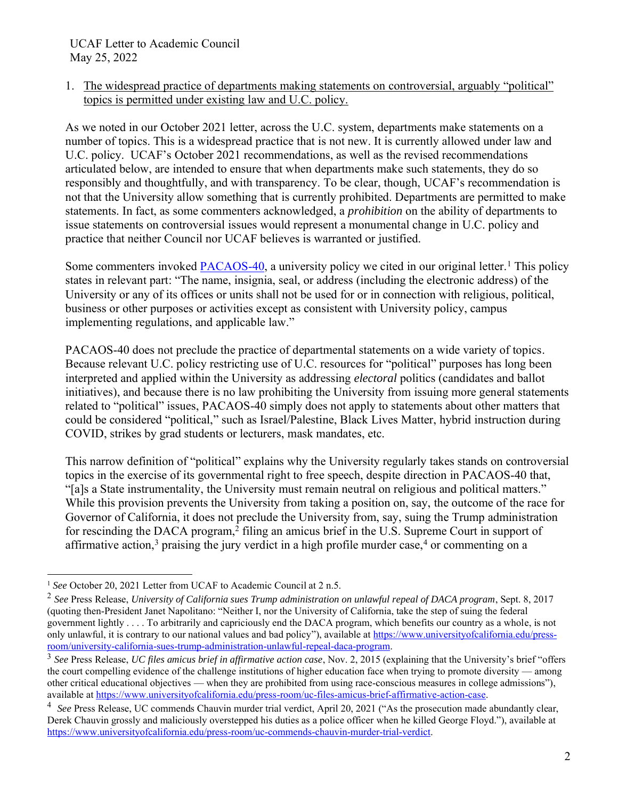1. The widespread practice of departments making statements on controversial, arguably "political" topics is permitted under existing law and U.C. policy.

As we noted in our October 2021 letter, across the U.C. system, departments make statements on a number of topics. This is a widespread practice that is not new. It is currently allowed under law and U.C. policy. UCAF's October 2021 recommendations, as well as the revised recommendations articulated below, are intended to ensure that when departments make such statements, they do so responsibly and thoughtfully, and with transparency. To be clear, though, UCAF's recommendation is not that the University allow something that is currently prohibited. Departments are permitted to make statements. In fact, as some commenters acknowledged, a *prohibition* on the ability of departments to issue statements on controversial issues would represent a monumental change in U.C. policy and practice that neither Council nor UCAF believes is warranted or justified.

Some commenters invoked [PACAOS-40,](https://policy.ucop.edu/doc/2710524/PACAOS-40) a university policy we cited in our original letter.<sup>1</sup> This policy states in relevant part: "The name, insignia, seal, or address (including the electronic address) of the University or any of its offices or units shall not be used for or in connection with religious, political, business or other purposes or activities except as consistent with University policy, campus implementing regulations, and applicable law."

PACAOS-40 does not preclude the practice of departmental statements on a wide variety of topics. Because relevant U.C. policy restricting use of U.C. resources for "political" purposes has long been interpreted and applied within the University as addressing *electoral* politics (candidates and ballot initiatives), and because there is no law prohibiting the University from issuing more general statements related to "political" issues, PACAOS-40 simply does not apply to statements about other matters that could be considered "political," such as Israel/Palestine, Black Lives Matter, hybrid instruction during COVID, strikes by grad students or lecturers, mask mandates, etc.

This narrow definition of "political" explains why the University regularly takes stands on controversial topics in the exercise of its governmental right to free speech, despite direction in PACAOS-40 that, "[a]s a State instrumentality, the University must remain neutral on religious and political matters." While this provision prevents the University from taking a position on, say, the outcome of the race for Governor of California, it does not preclude the University from, say, suing the Trump administration for rescinding the DACA program,<sup>2</sup> filing an amicus brief in the U.S. Supreme Court in support of affirmative action,<sup>3</sup> praising the jury verdict in a high profile murder case,<sup>4</sup> or commenting on a

<sup>&</sup>lt;sup>1</sup> See October 20, 2021 Letter from UCAF to Academic Council at 2 n.5.

<sup>2</sup> *See* Press Release, *University of California sues Trump administration on unlawful repeal of DACA program*, Sept. 8, 2017 (quoting then-President Janet Napolitano: "Neither I, nor the University of California, take the step of suing the federal government lightly . . . . To arbitrarily and capriciously end the DACA program, which benefits our country as a whole, is not only unlawful, it is contrary to our national values and bad policy"), available a[t https://www.universityofcalifornia.edu/press](https://www.universityofcalifornia.edu/press-room/university-california-sues-trump-administration-unlawful-repeal-daca-program)[room/university-california-sues-trump-administration-unlawful-repeal-daca-program.](https://www.universityofcalifornia.edu/press-room/university-california-sues-trump-administration-unlawful-repeal-daca-program)

<sup>3</sup> *See* Press Release, *UC files amicus brief in affirmative action case*, Nov. 2, 2015 (explaining that the University's brief "offers the court compelling evidence of the challenge institutions of higher education face when trying to promote diversity — among other critical educational objectives — when they are prohibited from using race-conscious measures in college admissions"), available at [https://www.universityofcalifornia.edu/press-room/uc-files-amicus-brief-affirmative-action-case.](https://www.universityofcalifornia.edu/press-room/uc-files-amicus-brief-affirmative-action-case)

<sup>&</sup>lt;sup>4</sup> See Press Release, UC commends Chauvin murder trial verdict, April 20, 2021 ("As the prosecution made abundantly clear, Derek Chauvin grossly and maliciously overstepped his duties as a police officer when he killed George Floyd."), available at [https://www.universityofcalifornia.edu/press-room/uc-commends-chauvin-murder-trial-verdict.](https://www.universityofcalifornia.edu/press-room/uc-commends-chauvin-murder-trial-verdict)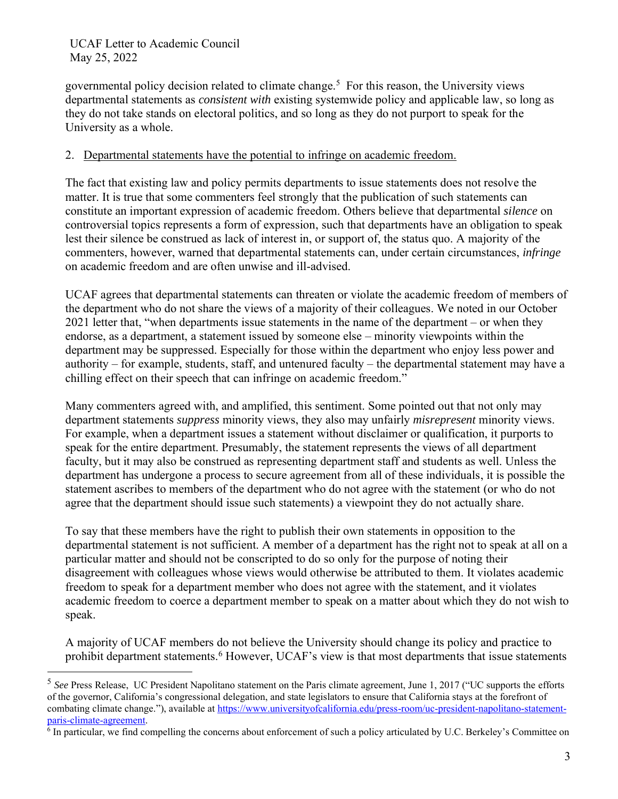governmental policy decision related to climate change.<sup>5</sup> For this reason, the University views departmental statements as *consistent with* existing systemwide policy and applicable law, so long as they do not take stands on electoral politics, and so long as they do not purport to speak for the University as a whole.

## 2. Departmental statements have the potential to infringe on academic freedom.

The fact that existing law and policy permits departments to issue statements does not resolve the matter. It is true that some commenters feel strongly that the publication of such statements can constitute an important expression of academic freedom. Others believe that departmental *silence* on controversial topics represents a form of expression, such that departments have an obligation to speak lest their silence be construed as lack of interest in, or support of, the status quo. A majority of the commenters, however, warned that departmental statements can, under certain circumstances, *infringe* on academic freedom and are often unwise and ill-advised.

UCAF agrees that departmental statements can threaten or violate the academic freedom of members of the department who do not share the views of a majority of their colleagues. We noted in our October 2021 letter that, "when departments issue statements in the name of the department – or when they endorse, as a department, a statement issued by someone else – minority viewpoints within the department may be suppressed. Especially for those within the department who enjoy less power and authority – for example, students, staff, and untenured faculty – the departmental statement may have a chilling effect on their speech that can infringe on academic freedom."

Many commenters agreed with, and amplified, this sentiment. Some pointed out that not only may department statements *suppress* minority views, they also may unfairly *misrepresent* minority views. For example, when a department issues a statement without disclaimer or qualification, it purports to speak for the entire department. Presumably, the statement represents the views of all department faculty, but it may also be construed as representing department staff and students as well. Unless the department has undergone a process to secure agreement from all of these individuals, it is possible the statement ascribes to members of the department who do not agree with the statement (or who do not agree that the department should issue such statements) a viewpoint they do not actually share.

To say that these members have the right to publish their own statements in opposition to the departmental statement is not sufficient. A member of a department has the right not to speak at all on a particular matter and should not be conscripted to do so only for the purpose of noting their disagreement with colleagues whose views would otherwise be attributed to them. It violates academic freedom to speak for a department member who does not agree with the statement, and it violates academic freedom to coerce a department member to speak on a matter about which they do not wish to speak.

A majority of UCAF members do not believe the University should change its policy and practice to prohibit department statements.<sup>6</sup> However, UCAF's view is that most departments that issue statements

<sup>5</sup> *See* Press Release, UC President Napolitano statement on the Paris climate agreement, June 1, 2017 ("UC supports the efforts of the governor, California's congressional delegation, and state legislators to ensure that California stays at the forefront of combating climate change."), available a[t https://www.universityofcalifornia.edu/press-room/uc-president-napolitano-statement](https://www.universityofcalifornia.edu/press-room/uc-president-napolitano-statement-paris-climate-agreement)[paris-climate-agreement.](https://www.universityofcalifornia.edu/press-room/uc-president-napolitano-statement-paris-climate-agreement)

<sup>&</sup>lt;sup>6</sup> In particular, we find compelling the concerns about enforcement of such a policy articulated by U.C. Berkeley's Committee on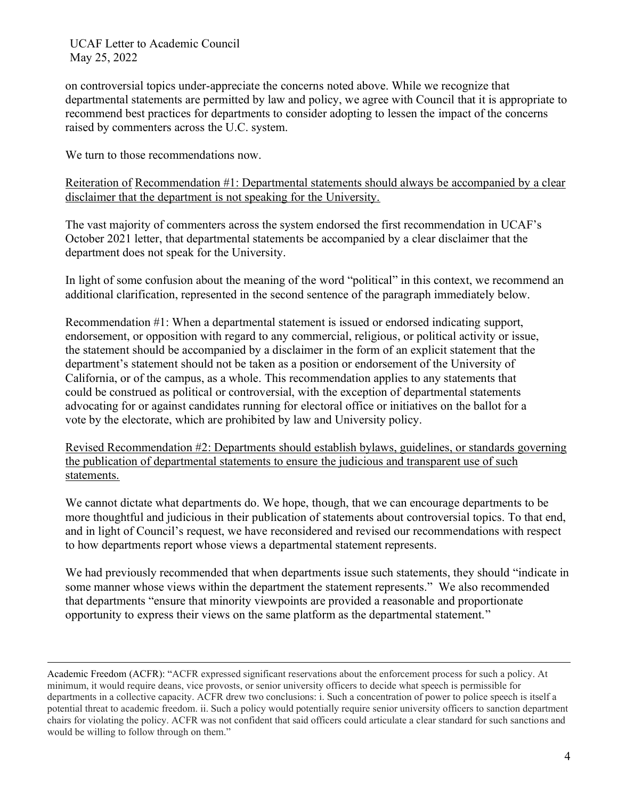on controversial topics under-appreciate the concerns noted above. While we recognize that departmental statements are permitted by law and policy, we agree with Council that it is appropriate to recommend best practices for departments to consider adopting to lessen the impact of the concerns raised by commenters across the U.C. system.

We turn to those recommendations now.

Reiteration of Recommendation #1: Departmental statements should always be accompanied by a clear disclaimer that the department is not speaking for the University.

The vast majority of commenters across the system endorsed the first recommendation in UCAF's October 2021 letter, that departmental statements be accompanied by a clear disclaimer that the department does not speak for the University.

In light of some confusion about the meaning of the word "political" in this context, we recommend an additional clarification, represented in the second sentence of the paragraph immediately below.

Recommendation #1: When a departmental statement is issued or endorsed indicating support, endorsement, or opposition with regard to any commercial, religious, or political activity or issue, the statement should be accompanied by a disclaimer in the form of an explicit statement that the department's statement should not be taken as a position or endorsement of the University of California, or of the campus, as a whole. This recommendation applies to any statements that could be construed as political or controversial, with the exception of departmental statements advocating for or against candidates running for electoral office or initiatives on the ballot for a vote by the electorate, which are prohibited by law and University policy.

Revised Recommendation #2: Departments should establish bylaws, guidelines, or standards governing the publication of departmental statements to ensure the judicious and transparent use of such statements.

We cannot dictate what departments do. We hope, though, that we can encourage departments to be more thoughtful and judicious in their publication of statements about controversial topics. To that end, and in light of Council's request, we have reconsidered and revised our recommendations with respect to how departments report whose views a departmental statement represents.

We had previously recommended that when departments issue such statements, they should "indicate in some manner whose views within the department the statement represents." We also recommended that departments "ensure that minority viewpoints are provided a reasonable and proportionate opportunity to express their views on the same platform as the departmental statement."

Academic Freedom (ACFR): "ACFR expressed significant reservations about the enforcement process for such a policy. At minimum, it would require deans, vice provosts, or senior university officers to decide what speech is permissible for departments in a collective capacity. ACFR drew two conclusions: i. Such a concentration of power to police speech is itself a potential threat to academic freedom. ii. Such a policy would potentially require senior university officers to sanction department chairs for violating the policy. ACFR was not confident that said officers could articulate a clear standard for such sanctions and would be willing to follow through on them."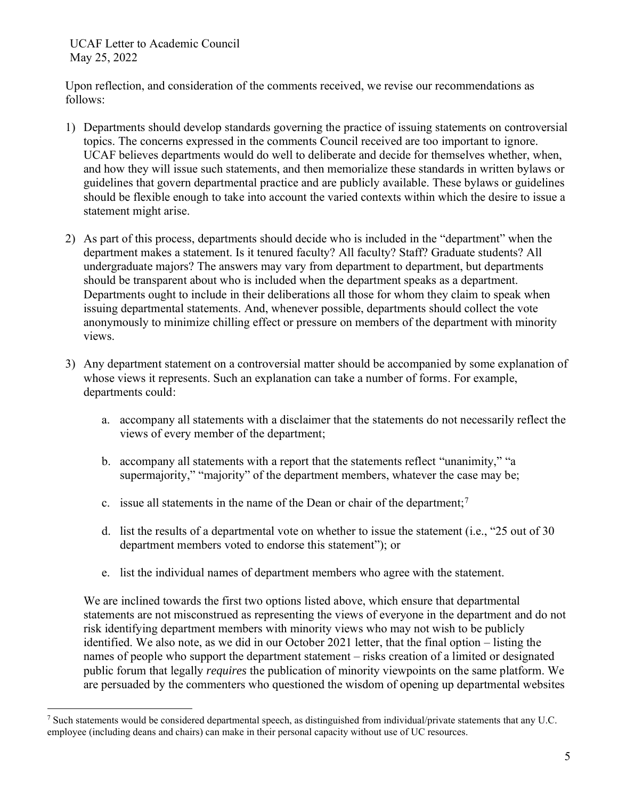Upon reflection, and consideration of the comments received, we revise our recommendations as follows:

- 1) Departments should develop standards governing the practice of issuing statements on controversial topics. The concerns expressed in the comments Council received are too important to ignore. UCAF believes departments would do well to deliberate and decide for themselves whether, when, and how they will issue such statements, and then memorialize these standards in written bylaws or guidelines that govern departmental practice and are publicly available. These bylaws or guidelines should be flexible enough to take into account the varied contexts within which the desire to issue a statement might arise.
- 2) As part of this process, departments should decide who is included in the "department" when the department makes a statement. Is it tenured faculty? All faculty? Staff? Graduate students? All undergraduate majors? The answers may vary from department to department, but departments should be transparent about who is included when the department speaks as a department. Departments ought to include in their deliberations all those for whom they claim to speak when issuing departmental statements. And, whenever possible, departments should collect the vote anonymously to minimize chilling effect or pressure on members of the department with minority views.
- 3) Any department statement on a controversial matter should be accompanied by some explanation of whose views it represents. Such an explanation can take a number of forms. For example, departments could:
	- a. accompany all statements with a disclaimer that the statements do not necessarily reflect the views of every member of the department;
	- b. accompany all statements with a report that the statements reflect "unanimity," "a supermajority," "majority" of the department members, whatever the case may be;
	- c. issue all statements in the name of the Dean or chair of the department;<sup>7</sup>
	- d. list the results of a departmental vote on whether to issue the statement (i.e., "25 out of 30 department members voted to endorse this statement"); or
	- e. list the individual names of department members who agree with the statement.

We are inclined towards the first two options listed above, which ensure that departmental statements are not misconstrued as representing the views of everyone in the department and do not risk identifying department members with minority views who may not wish to be publicly identified. We also note, as we did in our October 2021 letter, that the final option – listing the names of people who support the department statement – risks creation of a limited or designated public forum that legally *requires* the publication of minority viewpoints on the same platform. We are persuaded by the commenters who questioned the wisdom of opening up departmental websites

<sup>&</sup>lt;sup>7</sup> Such statements would be considered departmental speech, as distinguished from individual/private statements that any U.C. employee (including deans and chairs) can make in their personal capacity without use of UC resources.